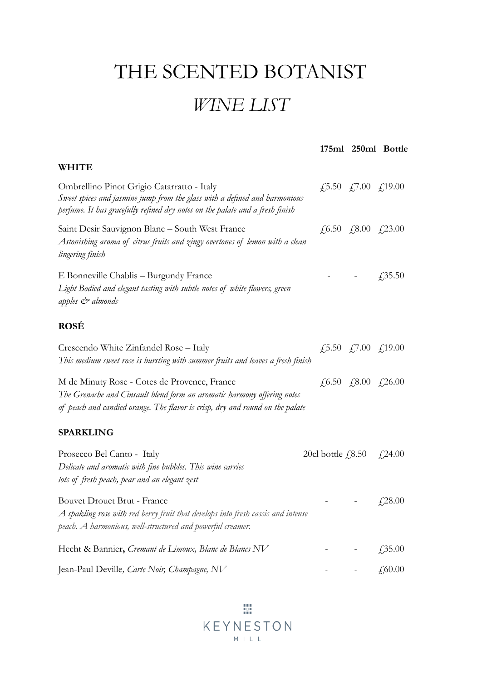## THE SCENTED BOTANIST

## *WINE LIST*

|                                                                                                                                                                                                           |                                                                    | 175ml 250ml Bottle                                                                   |
|-----------------------------------------------------------------------------------------------------------------------------------------------------------------------------------------------------------|--------------------------------------------------------------------|--------------------------------------------------------------------------------------|
| <b>WHITE</b>                                                                                                                                                                                              |                                                                    |                                                                                      |
| Ombrellino Pinot Grigio Catarratto - Italy<br>Sweet spices and jasmine jump from the glass with a defined and harmonious<br>perfume. It has gracefully refined dry notes on the palate and a fresh finish |                                                                    | £,5.50 £,7.00 £,19.00                                                                |
| Saint Desir Sauvignon Blanc - South West France<br>Astonishing aroma of citrus fruits and zingy overtones of lemon with a clean<br>lingering finish                                                       |                                                                    | £,6.50 £,8.00 £,23.00                                                                |
| E Bonneville Chablis – Burgundy France<br>Light Bodied and elegant tasting with subtle notes of white flowers, green<br>apples $\mathcal{Q}$ almonds                                                      |                                                                    | $\sqrt{.35.50}$                                                                      |
| <b>ROSÉ</b>                                                                                                                                                                                               |                                                                    |                                                                                      |
| Crescendo White Zinfandel Rose - Italy<br>This medium sweet rose is bursting with summer fruits and leaves a fresh finish                                                                                 |                                                                    | $\textit{\textbf{4}}$ ,5.50 $\textit{\textbf{4}}$ ,7.00 $\textit{\textbf{4}}$ ,19.00 |
| M de Minuty Rose - Cotes de Provence, France<br>The Grenache and Cinsault blend form an aromatic harmony offering notes<br>of peach and candied orange. The flavor is crisp, dry and round on the palate  |                                                                    | £,6.50 £,8.00 £,26.00                                                                |
| <b>SPARKLING</b>                                                                                                                                                                                          |                                                                    |                                                                                      |
| Prosecco Bel Canto - Italy<br>Delicate and aromatic with fine bubbles. This wine carries<br>lots of fresh peach, pear and an elegant zest                                                                 | 20cl bottle $\text{\textsterling}8.50$ $\text{\textsterling}24.00$ |                                                                                      |
| Bouvet Drouet Brut - France<br>$A$ spakling rose with red berry fruit that develops into fresh cassis and intense<br>peach. A harmonious, well-structured and powerful creamer.                           |                                                                    | $\frac{1}{2}$ - $\frac{1}{28.00}$                                                    |
| Hecht & Bannier, Cremant de Limoux, Blanc de Blancs NV                                                                                                                                                    |                                                                    | £35.00                                                                               |
| Jean-Paul Deville, Carte Noir, Champagne, NV                                                                                                                                                              |                                                                    | £,60.00                                                                              |

鹽 KEYNESTON  $M + L L$